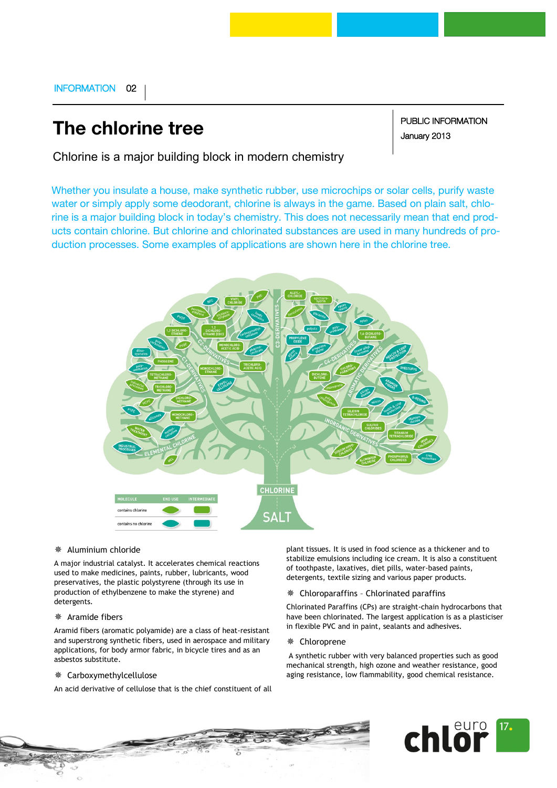## INFORMATION 02

# **The chlorine tree**

PUBLIC INFORMATION January 2013

Chlorine is a major building block in modern chemistry

Whether you insulate a house, make synthetic rubber, use microchips or solar cells, purify waste water or simply apply some deodorant, chlorine is always in the game. Based on plain salt, chlorine is a major building block in today's chemistry. This does not necessarily mean that end products contain chlorine. But chlorine and chlorinated substances are used in many hundreds of production processes. Some examples of applications are shown here in the chlorine tree.



## Aluminium chloride

A major industrial catalyst. It accelerates chemical reactions used to make medicines, paints, rubber, lubricants, wood preservatives, the plastic polystyrene (through its use in production of ethylbenzene to make the styrene) and detergents.

## Aramide fibers

Aramid fibers (aromatic polyamide) are a class of heat-resistant and superstrong synthetic fibers, used in aerospace and military applications, for body armor fabric, in bicycle tires and as an asbestos substitute.

#### Carboxymethylcellulose

An acid derivative of cellulose that is the chief constituent of all

plant tissues. It is used in food science as a thickener and to stabilize emulsions including ice cream. It is also a constituent of toothpaste, laxatives, diet pills, water-based paints, detergents, textile sizing and various paper products.

## Chloroparaffins – Chlorinated paraffins

Chlorinated Paraffins (CPs) are straight-chain hydrocarbons that have been chlorinated. The largest application is as a plasticiser in flexible PVC and in paint, sealants and adhesives.

#### Chloroprene

A synthetic rubber with very balanced properties such as good mechanical strength, high ozone and weather resistance, good aging resistance, low flammability, good chemical resistance.